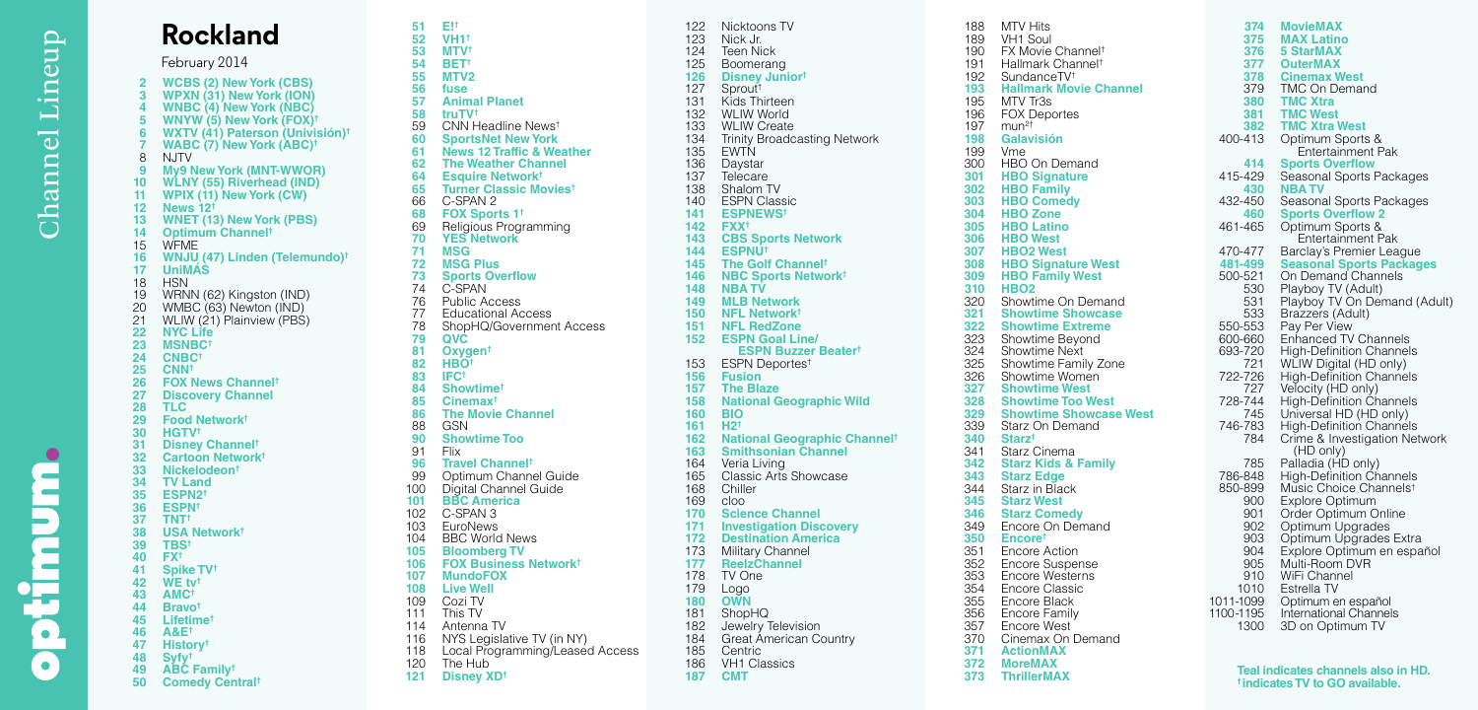D

Ē

ç 0

 $\bullet$ 

**Rockland** February 2014 **2 WCBS (2) New York (CBS) 3 WPXN (31) New York (ION) 4 WNBC (4) New York (NBC) 5 WNYW (5) New York (FOX) † 6 WXTV (41) Paterson (Univisión) † 7 WABC (7) New York (ABC) †** 8 NJTV<br>9 My91 **9 My9 New York (MNT-WWOR) 10 WLNY (55) Riverhead (IND) 11 WPIX (11) New York (CW) 12 News 12 † 13 WNET (13) New York (PBS) 14 Optimum Channel †** 15 WFME<br>16 WNJU **16 WNJU (47) Linden (Telemundo) † 17 UniMÁS** 18 HSN<br>19 WRN 19 WRNN (62) Kingston (IND)<br>20 WMBC (63) Newton (IND) 20 WMBC (63) Newton (IND)<br>21 WLIW (21) Plainview (PBS 21 WLIW (21) Plainview (PBS)<br>22 NYC Life **22 NYC Life 23 MSNBC † 24 CNBC † 25 CNN † 26 FOX News Channel † 27 Discovery Channel 28 TLC 29 Food Network † 30 HGTV † 31 Disney Channel † 32 Cartoon Network † 33 Nickelodeon † 34 TV Land 35 ESPN2 † 36 ESPN † 37 TNT † 38 USA Network † 39 TBS † 40 FX † 41 Spike TV † 42 WE tv † 43 AMC † 44 Bravo † 45 Lifetime † 46 A&E † 47 History † 48 Syfy † 49 ABC Family † 50 Comedy Central †**

**51 E! † 52 VH1 † 53 MTV † 54 BET † 55 MTV2 56 fuse 57 Animal Planet 58 truTV †** 59 CNN Headline News † **60 SportsNet New York 61 News 12 Traffic & Weather 62 The Weather Channel 64 Esquire Network † 65 Turner Classic Movies †** 66 C-SPAN 2<br>68 FOX Spor **68 FOX Sports 1 †** 69 Religious Programming<br>**70 YES Network 70 YES Network 71 MSG 72 MSG Plus 73 Sports Overflow** 74 C-SPAN<br>76 Public A 76 Public Access<br>77 Fducational A 77 Educational Access<br>78 ShopHO/Governmer 78 ShopHQ/Government Access **79 QVC 81 Oxygen † 82 HBO † 83 IFC † 84 Showtime † 85 Cinemax † 86 The Movie Channel** 88 GSN<br>90 Shov **90 Showtime Too** 91 Flix<br>**96 Tray 96 Travel Channel †** 99 Optimum Channel Guide<br>100 Digital Channel Guide 100 Digital Channel Guide **101 BBC America** 102 C-SPAN 3<br>103 EuroNews 103 EuroNews<br>104 BBC World **BBC World News 105 Bloomberg TV 106 FOX Business Network † 107 MundoFOX 108 Live Well** 109 Cozi TV<br>111 This TV 111 This TV<br>114 Antenna Antenna TV 116 NYS Legislative TV (in NY) 118 Local Programming/Leased Access 120 The Hub **121 Disney XD †**

122 Nicktoons TV<br>123 Nick Jr. 123 Nick Jr.<br>124 Teen Ni 124 Teen Nick<br>125 Boomeran **Boomerang 126 Disney Junior †** 127 Sprout † 131 Kids Thirteen<br>132 WLIW World 132 WLIW World<br>133 WLIW Create 133 WLIW Create<br>134 Trinity Broadc 134 Trinity Broadcasting Network<br>135 EWTN 135 EWTŃ<br>136 Daysta 136 Daystar<br>137 Telecare 137 Telecare<br>138 Shalom 1 138 Shalom TV<br>140 ESPN Clas 140 ESPN Classic<br>141 ESPNEWS<sup>t</sup> **141 ESPNEWS † 142 FXX † 143 CBS Sports Network 144 ESPNU † 145 The Golf Channel † 146 NBC Sports Network † 148 NBA TV 149 MLB Network 150 NFL Network † 151 NFL RedZone 152 ESPN Goal Line/ ESPN Buzzer Beater †** 153 ESPN Deportes † **156 Fusion 157 The Blaze 158 National Geographic Wild 160 BIO 161 H2 † 162 National Geographic Channel † 163 Smithsonian Channel** 164 Veria Living<br>165 Classic Arts 165 Classic Arts Showcase<br>168 Chiller 168 Chiller<br>169 cloo 169 cloo<br>**170 Scie**r **170 Science Channel 171 Investigation Discovery 172 Destination America** Military Channel **177 ReelzChannel** 178 TV One<br>179 Logo 179 Logo **180 OWN** 181 ShopHQ<br>182 Jewelry 182 Jewelry Television<br>184 Great American C Great American Country 185 Centric<br>186 VH1 Cla 186 VH1 Classics<br>187 CMT **187 CMT**

188 MTV Hits<br>189 VH1 Soul 189 VH1 Soul<br>190 FX Movie 190 FX Movie Channel † 191 Hallmark Channel † 192 SundanceTV † **193 Hallmark Movie Channel**  195 MTV Tr3s<br>196 FOX Depo 196 FOX Deportes<br>197 mun<sup>2†</sup> 197 mun 2 † **198 Galavisión** 199 Vme<br>300 HBO 300 HBO On Demand<br>301 HBO Signature **301 HBO Signature 302 HBO Family 303 HBO Comedy 304 HBO Zone 305 HBO Latino 306 HBO West 307 HBO2 West 308 HBO Signature West 309 HBO Family West 310 HBO2** 320 Showtime On Demand<br>321 Showtime Showcase **321 Showtime Showcase 322 Showtime Extreme** 323 Showtime Beyond<br>324 Showtime Next 324 Showtime Next<br>325 Showtime Fami 325 Showtime Family Zone<br>326 Showtime Women Showtime Women **327 Showtime West 328 Showtime Too West 329 Showtime Showcase West** 339 Starz On Demand<br>340 Starz<sup>t</sup> **340 Starz †** 341 Starz Cinema<br>342 Starz Kids & **342 Starz Kids & Family 343 Starz Edge** 344 Starz in Black<br>345 Starz West **345 Starz West 346 Starz Comedy** 349 Encore On Demand<br>350 Encore<sup>t</sup> **350 Encore †** 351 Encore Action<br>352 Encore Susper 352 Encore Suspense<br>353 Encore Westerns 353 Encore Westerns<br>354 Encore Classic 354 Encore Classic<br>355 Encore Black 355 Encore Black<br>356 Encore Family 356 Encore Family<br>357 Encore West 357 Encore West<br>370 Cinemax On Cinemax On Demand **371 ActionMAX 372 MoreMAX 373 ThrillerMAX**

**374 MovieMAX 375 MAX Latino 376 5 StarMAX 377 OuterMAX 378 Cinemax West** 379 TMC On Demand<br>380 TMC Xtra **380 TMC Xtra 381 TMC West 382 TMC Xtra West**<br>400-413 **Optimum Sports** 400-413 Optimum Sports & Entertainment Pak **414 Sports Overflow** 429 Seasonal Sports Packages<br>430 **NBA TV 430 NBA TV** 450 Seasonal Sports Packages<br>460 Sports Overflow 2 **460 Sports Overflow 2** Optimum Sports & Entertainment Pak 470-477 Barclay's Premier League<br>481-499 Seasonal Sports Packag **481-499 Seasonal Sports Packages** -521 On Demand Channels<br>530 Playboy TV (Adult) 530 Playboy TV (Adult)<br>531 Playboy TV On De 531 Playboy TV On Demand (Adult)<br>533 Brazzers (Adult) 533 Brazzers (Adult)<br>550-553 Pay Per View 550-553 Pay Per View 600-660 Enhanced TV Channels 720 High-Definition Channels<br>721 WLIW Digital (HD only) 721 WLIW Digital (HD only)<br>722-726 High-Definition Channe -726 High-Definition Channels<br>727 Velocity (HD only) Velocity (HD only) 728-744 High-Definition Channels<br>745 Universal HD (HD only) 745 Universal HD (HD only)<br>746-783 High-Definition Channel 783 High-Definition Channels<br>784 Crime & Investigation Net Crime & Investigation Network (HD only) 785 Palladia (HD only) 786-848 High-Definition Channels 850-899 Music Choice Channels † 900 Explore Optimum<br>901 Order Optimum C 901 Order Optimum Online<br>902 Optimum Upgrades 902 Optimum Upgrades<br>903 Optimum Upgrades 903 Optimum Upgrades Extra<br>904 Explore Optimum en espa 904 Explore Optimum en español<br>905 Multi-Room DVR 905 Multi-Room DVR<br>910 WiFi Channel 910 WiFi Channel<br>1010 Estrella TV **Estrella TV** 1011-1099 Optimum en español 110 0 -1195 International Channels<br>1300 3D on Optimum TV 3D on Optimum TV

> **Teal indicates channels also in HD. † indicates TV to GO available.**